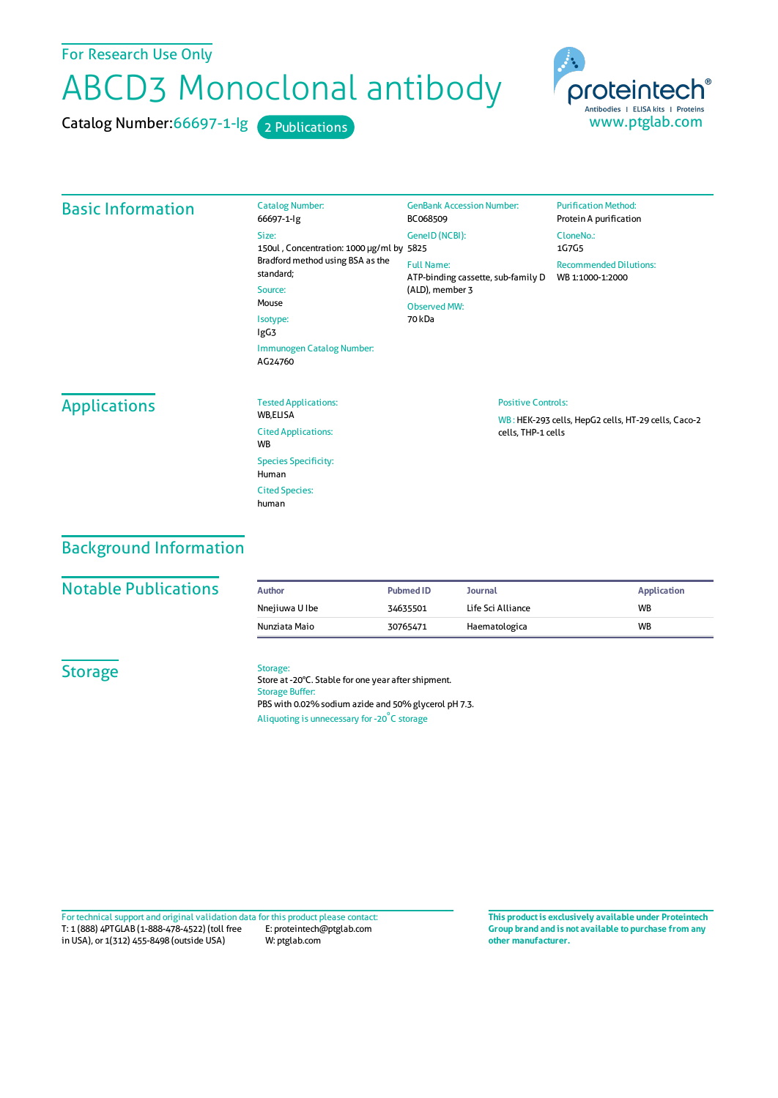For Research Use Only

# ABCD3 Monoclonal antibody

Catalog Number: 66697-1-lg 2 Publications



#### Basic Information Catalog Number: 66697-1-Ig Size: 150ul , Concentration: 1000 μg/ml by 5825 Bradford method using BSA as the standard; Source: Mouse Isotype: IgG3 Immunogen Catalog Number: AG24760 GenBank Accession Number: BC068509 GeneID(NCBI): Full Name: ATP-binding cassette, sub-family D (ALD), member 3 Observed MW: 70 kDa **Purification Method:** Protein A purification CloneNo.: 1G7G5 Recommended Dilutions: WB 1:1000-1:2000 Applications Tested Applications: **WR FLISA** Cited Applications: **W<sub>R</sub>** Species Specificity: Human Cited Species: human Positive Controls: WB : HEK-293 cells, HepG2 cells, HT-29 cells, Caco-2 cells, THP-1 cells

## Background Information

### **Notable Publications**

| Author         | <b>Pubmed ID</b> | Journal           | Application |
|----------------|------------------|-------------------|-------------|
| Nnejiuwa U Ibe | 34635501         | Life Sci Alliance | <b>WB</b>   |
| Nunziata Maio  | 30765471         | Haematologica     | <b>WB</b>   |

## **Storage**

#### Storage:

Store at -20°C. Stable for one year after shipment. Storage Buffer: PBS with 0.02% sodium azide and 50% glycerol pH 7.3. Aliquoting is unnecessary for -20<sup>°</sup>C storage

T: 1 (888) 4PTGLAB (1-888-478-4522) (toll free in USA), or 1(312) 455-8498 (outside USA) E: proteintech@ptglab.com W: ptglab.com Fortechnical support and original validation data forthis product please contact: **This productis exclusively available under Proteintech**

**Group brand and is not available to purchase from any other manufacturer.**